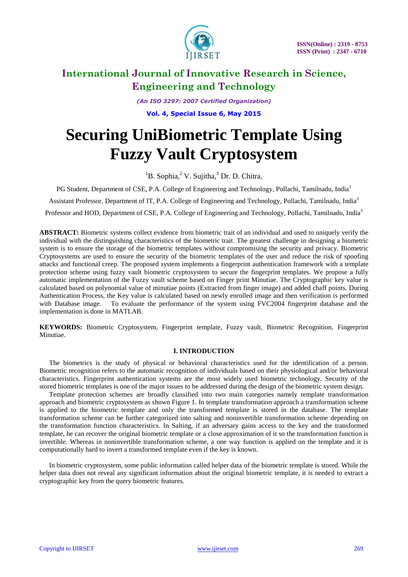

*(An ISO 3297: 2007 Certified Organization)*

**Vol. 4, Special Issue 6, May 2015**

# **Securing UniBiometric Template Using Fuzzy Vault Cryptosystem**

 ${}^{1}$ B. Sophia, ${}^{2}$  V. Sujitha, ${}^{3}$  Dr. D. Chitra,

PG Student, Department of CSE, P.A. College of Engineering and Technology, Pollachi, Tamilnadu, India<sup>1</sup>

Assistant Professor, Department of IT, P.A. College of Engineering and Technology, Pollachi, Tamilnadu, India<sup>2</sup>

Professor and HOD, Department of CSE, P.A. College of Engineering and Technology, Pollachi, Tamilnadu, India<sup>3</sup>

**ABSTRACT:** Biometric systems collect evidence from biometric trait of an individual and used to uniquely verify the individual with the distinguishing characteristics of the biometric trait. The greatest challenge in designing a biometric system is to ensure the storage of the biometric templates without compromising the security and privacy. Biometric Cryptosystems are used to ensure the security of the biometric templates of the user and reduce the risk of spoofing attacks and functional creep. The proposed system implements a fingerprint authentication framework with a template protection scheme using fuzzy vault biometric cryptosystem to secure the fingerprint templates. We propose a fully automatic implementation of the Fuzzy vault scheme based on Finger print Minutiae. The Cryptographic key value is calculated based on polynomial value of minutiae points (Extracted from finger image) and added chaff points. During Authentication Process, the Key value is calculated based on newly enrolled image and then verification is performed with Database image. To evaluate the performance of the system using FVC2004 fingerprint database and the implementation is done in MATLAB.

**KEYWORDS:** Biometric Cryptosystem, Fingerprint template, Fuzzy vault, Biometric Recognition, Fingerprint Minutiae.

### **I. INTRODUCTION**

The biometrics is the study of physical or behavioral characteristics used for the identification of a person. Biometric recognition refers to the automatic recognition of individuals based on their physiological and/or behavioral characteristics. Fingerprint authentication systems are the most widely used biometric technology. Security of the stored biometric templates is one of the major issues to be addressed during the design of the biometric system design.

Template protection schemes are broadly classified into two main categories namely template transformation approach and biometric cryptosystem as shown Figure 1. In template transformation approach a transformation scheme is applied to the biometric template and only the transformed template is stored in the database. The template transformation scheme can be further categorized into salting and noninvertible transformation scheme depending on the transformation function characteristics. In Salting, if an adversary gains access to the key and the transformed template, he can recover the original biometric template or a close approximation of it so the transformation function is invertible. Whereas in noninvertible transformation scheme, a one way function is applied on the template and it is computationally hard to invert a transformed template even if the key is known.

In biometric cryptosystem, some public information called helper data of the biometric template is stored. While the helper data does not reveal any significant information about the original biometric template, it is needed to extract a cryptographic key from the query biometric features.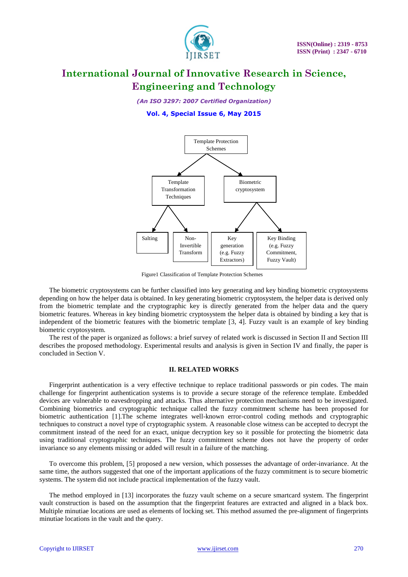

*(An ISO 3297: 2007 Certified Organization)*

### **Vol. 4, Special Issue 6, May 2015**



Figure1 Classification of Template Protection Schemes

The biometric cryptosystems can be further classified into key generating and key binding biometric cryptosystems depending on how the helper data is obtained. In key generating biometric cryptosystem, the helper data is derived only from the biometric template and the cryptographic key is directly generated from the helper data and the query biometric features. Whereas in key binding biometric cryptosystem the helper data is obtained by binding a key that is independent of the biometric features with the biometric template [3, 4]. Fuzzy vault is an example of key binding biometric cryptosystem.

The rest of the paper is organized as follows: a brief survey of related work is discussed in Section II and Section III describes the proposed methodology. Experimental results and analysis is given in Section IV and finally, the paper is concluded in Section V.

### **II. RELATED WORKS**

Fingerprint authentication is a very effective technique to replace traditional passwords or pin codes. The main challenge for fingerprint authentication systems is to provide a secure storage of the reference template. Embedded devices are vulnerable to eavesdropping and attacks. Thus alternative protection mechanisms need to be investigated. Combining biometrics and cryptographic technique called the fuzzy commitment scheme has been proposed for biometric authentication [1].The scheme integrates well-known error-control coding methods and cryptographic techniques to construct a novel type of cryptographic system. A reasonable close witness can be accepted to decrypt the commitment instead of the need for an exact, unique decryption key so it possible for protecting the biometric data using traditional cryptographic techniques. The fuzzy commitment scheme does not have the property of order invariance so any elements missing or added will result in a failure of the matching.

To overcome this problem, [5] proposed a new version, which possesses the advantage of order-invariance. At the same time, the authors suggested that one of the important applications of the fuzzy commitment is to secure biometric systems. The system did not include practical implementation of the fuzzy vault.

The method employed in [13] incorporates the fuzzy vault scheme on a secure smartcard system. The fingerprint vault construction is based on the assumption that the fingerprint features are extracted and aligned in a black box. Multiple minutiae locations are used as elements of locking set. This method assumed the pre-alignment of fingerprints minutiae locations in the vault and the query.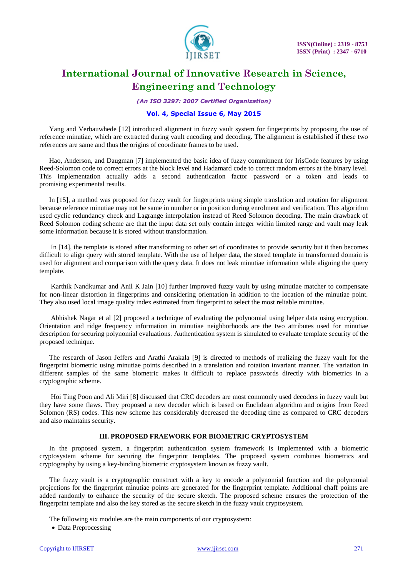

*(An ISO 3297: 2007 Certified Organization)*

### **Vol. 4, Special Issue 6, May 2015**

Yang and Verbauwhede [12] introduced alignment in fuzzy vault system for fingerprints by proposing the use of reference minutiae, which are extracted during vault encoding and decoding. The alignment is established if these two references are same and thus the origins of coordinate frames to be used.

Hao, Anderson, and Daugman [7] implemented the basic idea of fuzzy commitment for IrisCode features by using Reed-Solomon code to correct errors at the block level and Hadamard code to correct random errors at the binary level. This implementation actually adds a second authentication factor password or a token and leads to promising experimental results.

In [15], a method was proposed for fuzzy vault for fingerprints using simple translation and rotation for alignment because reference minutiae may not be same in number or in position during enrolment and verification. This algorithm used cyclic redundancy check and Lagrange interpolation instead of Reed Solomon decoding. The main drawback of Reed Solomon coding scheme are that the input data set only contain integer within limited range and vault may leak some information because it is stored without transformation.

In [14], the template is stored after transforming to other set of coordinates to provide security but it then becomes difficult to align query with stored template. With the use of helper data, the stored template in transformed domain is used for alignment and comparison with the query data. It does not leak minutiae information while aligning the query template.

Karthik Nandkumar and Anil K Jain [10] further improved fuzzy vault by using minutiae matcher to compensate for non-linear distortion in fingerprints and considering orientation in addition to the location of the minutiae point. They also used local image quality index estimated from fingerprint to select the most reliable minutiae.

Abhishek Nagar et al [2] proposed a technique of evaluating the polynomial using helper data using encryption. Orientation and ridge frequency information in minutiae neighborhoods are the two attributes used for minutiae description for securing polynomial evaluations. Authentication system is simulated to evaluate template security of the proposed technique.

The research of Jason Jeffers and Arathi Arakala [9] is directed to methods of realizing the fuzzy vault for the fingerprint biometric using minutiae points described in a translation and rotation invariant manner. The variation in different samples of the same biometric makes it difficult to replace passwords directly with biometrics in a cryptographic scheme.

Hoi Ting Poon and Ali Miri [8] discussed that CRC decoders are most commonly used decoders in fuzzy vault but they have some flaws. They proposed a new decoder which is based on Euclidean algorithm and origins from Reed Solomon (RS) codes. This new scheme has considerably decreased the decoding time as compared to CRC decoders and also maintains security.

#### **III. PROPOSED FRAEWORK FOR BIOMETRIC CRYPTOSYSTEM**

In the proposed system, a fingerprint authentication system framework is implemented with a biometric cryptosystem scheme for securing the fingerprint templates. The proposed system combines biometrics and cryptography by using a key-binding biometric cryptosystem known as fuzzy vault.

The fuzzy vault is a cryptographic construct with a key to encode a polynomial function and the polynomial projections for the fingerprint minutiae points are generated for the fingerprint template. Additional chaff points are added randomly to enhance the security of the secure sketch. The proposed scheme ensures the protection of the fingerprint template and also the key stored as the secure sketch in the fuzzy vault cryptosystem.

The following six modules are the main components of our cryptosystem:

• Data Preprocessing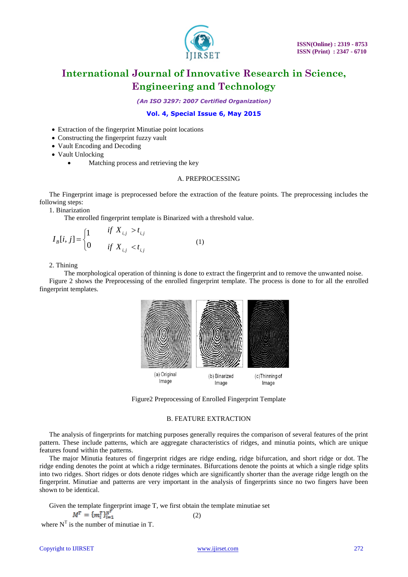

*(An ISO 3297: 2007 Certified Organization)*

### **Vol. 4, Special Issue 6, May 2015**

- Extraction of the fingerprint Minutiae point locations
- Constructing the fingerprint fuzzy vault
- Vault Encoding and Decoding
- Vault Unlocking
	- Matching process and retrieving the key

### A. PREPROCESSING

The Fingerprint image is preprocessed before the extraction of the feature points. The preprocessing includes the following steps:

1. Binarization

The enrolled fingerprint template is Binarized with a threshold value.

$$
I_B[i, j] = \begin{cases} 1 & \text{if } X_{i,j} > t_{i,j} \\ 0 & \text{if } X_{i,j} < t_{i,j} \end{cases}
$$
 (1)

2. Thining

The morphological operation of thinning is done to extract the fingerprint and to remove the unwanted noise. Figure 2 shows the Preprocessing of the enrolled fingerprint template. The process is done to for all the enrolled fingerprint templates.



Figure2 Preprocessing of Enrolled Fingerprint Template

#### B. FEATURE EXTRACTION

The analysis of fingerprints for matching purposes generally requires the comparison of several features of the print pattern. These include patterns, which are aggregate characteristics of ridges, and minutia points, which are unique features found within the patterns.

The major Minutia features of fingerprint ridges are ridge ending, ridge bifurcation, and short ridge or dot. The ridge ending denotes the point at which a ridge terminates. Bifurcations denote the points at which a single ridge splits into two ridges. Short ridges or dots denote ridges which are significantly shorter than the average ridge length on the fingerprint. Minutiae and patterns are very important in the analysis of fingerprints since no two fingers have been shown to be identical.

Given the template fingerprint image T, we first obtain the template minutiae set

$$
M^T = \{m_i^T\}_{i=1}^{N'}\tag{2}
$$

where  $N<sup>T</sup>$  is the number of minutiae in T.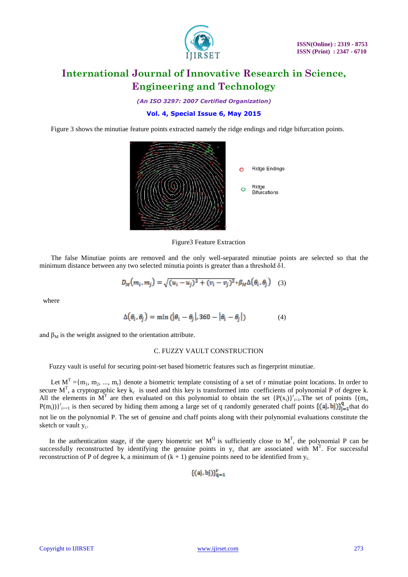

*(An ISO 3297: 2007 Certified Organization)*

### **Vol. 4, Special Issue 6, May 2015**

Figure 3 shows the minutiae feature points extracted namely the ridge endings and ridge bifurcation points.



Figure3 Feature Extraction

The false Minutiae points are removed and the only well-separated minutiae points are selected so that the minimum distance between any two selected minutia points is greater than a threshold δ1.

$$
D_M(m_i, m_j) = \sqrt{(u_i - u_j)^2 + (v_i - v_j)^2} + \beta_M \Delta(\theta_i, \theta_j)
$$
 (3)

where

$$
\Delta(\theta_i, \theta_j) = \min\left(|\theta_i - \theta_j|, 360 - |\theta_i - \theta_j|\right) \tag{4}
$$

and  $\beta_M$  is the weight assigned to the orientation attribute.

### C. FUZZY VAULT CONSTRUCTION

Fuzzy vault is useful for securing point-set based biometric features such as fingerprint minutiae.

Let  $M^T = \{m_1, m_2, ..., m_r\}$  denote a biometric template consisting of a set of r minutiae point locations. In order to secure  $M<sup>T</sup>$ , a cryptographic key  $k<sub>c</sub>$  is used and this key is transformed into coefficients of polynomial P of degree k. All the elements in M<sup>T</sup> are then evaluated on this polynomial to obtain the set  ${P(x_i)}_{i=1}^r$ . The set of points  ${(m_i,$  $P(m_i))$ <sup>r</sup><sub>i==1</sub> is then secured by hiding them among a large set of q randomly generated chaff points  $\{(\mathbf{a}_i, \mathbf{b}_j)\}_{i=1}^q$  that do not lie on the polynomial P. The set of genuine and chaff points along with their polynomial evaluations constitute the sketch or vault y<sub>c</sub>.

In the authentication stage, if the query biometric set  $M^Q$  is sufficiently close to  $M^T$ , the polynomial P can be successfully reconstructed by identifying the genuine points in  $y_c$  that are associated with  $M<sup>T</sup>$ . For successful reconstruction of P of degree k, a minimum of  $(k + 1)$  genuine points need to be identified from  $y_c$ .

$$
\{(\mathsf{a} \mathsf{j}, \mathsf{b} \mathsf{j})\}_{\mathsf{q}=1}^r
$$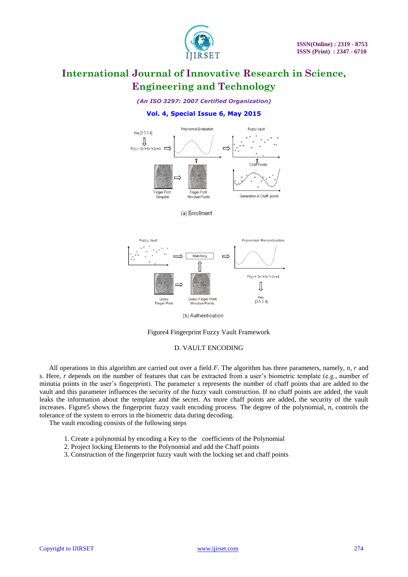

### *(An ISO 3297: 2007 Certified Organization)*

### **Vol. 4, Special Issue 6, May 2015**





(b) Authentication

#### Figure4 Fingerprint Fuzzy Vault Framework

#### D. VAULT ENCODING

All operations in this algorithm are carried out over a field *F*. The algorithm has three parameters, namely, *n*, *r* and *s*. Here, *r* depends on the number of features that can be extracted from a user's biometric template (e.g., number of minutia points in the user's fingerprint). The parameter *s* represents the number of chaff points that are added to the vault and this parameter influences the security of the fuzzy vault construction. If no chaff points are added, the vault leaks the information about the template and the secret. As more chaff points are added, the security of the vault increases. Figure5 shows the fingerprint fuzzy vault encoding process. The degree of the polynomial, *n*, controls the tolerance of the system to errors in the biometric data during decoding.

The vault encoding consists of the following steps

- 1. Create a polynomial by encoding a Key to the coefficients of the Polynomial
- 2. Project locking Elements to the Polynomial and add the Chaff points
- 3. Construction of the fingerprint fuzzy vault with the locking set and chaff points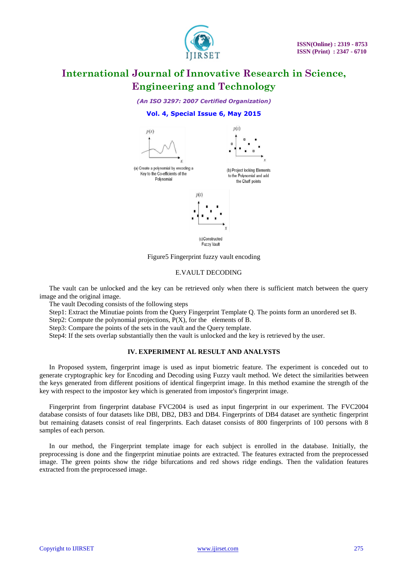

*(An ISO 3297: 2007 Certified Organization)*

### **Vol. 4, Special Issue 6, May 2015**



Figure5 Fingerprint fuzzy vault encoding

#### E.VAULT DECODING

The vault can be unlocked and the key can be retrieved only when there is sufficient match between the query image and the original image.

The vault Decoding consists of the following steps

Step1: Extract the Minutiae points from the Query Fingerprint Template Q. The points form an unordered set B.

Step2: Compute the polynomial projections, P(X), for the elements of B.

Step3: Compare the points of the sets in the vault and the Query template.

Step4: If the sets overlap substantially then the vault is unlocked and the key is retrieved by the user.

### **IV. EXPERIMENT AL RESULT AND ANALYSTS**

In Proposed system, fingerprint image is used as input biometric feature. The experiment is conceded out to generate cryptographic key for Encoding and Decoding using Fuzzy vault method. We detect the similarities between the keys generated from different positions of identical fingerprint image. In this method examine the strength of the key with respect to the impostor key which is generated from impostor's fingerprint image.

Fingerprint from fingerprint database FVC2004 is used as input fingerprint in our experiment. The FVC2004 database consists of four datasets like DBl, DB2, DB3 and DB4. Fingerprints of DB4 dataset are synthetic fingerprint but remaining datasets consist of real fingerprints. Each dataset consists of 800 fingerprints of 100 persons with 8 samples of each person.

In our method, the Fingerprint template image for each subject is enrolled in the database. Initially, the preprocessing is done and the fingerprint minutiae points are extracted. The features extracted from the preprocessed image. The green points show the ridge bifurcations and red shows ridge endings. Then the validation features extracted from the preprocessed image.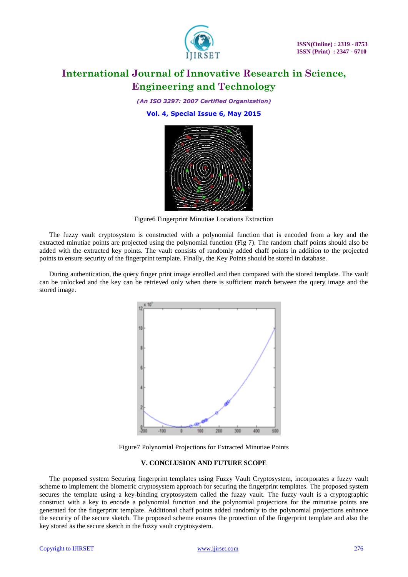

*(An ISO 3297: 2007 Certified Organization)*

**Vol. 4, Special Issue 6, May 2015**



Figure6 Fingerprint Minutiae Locations Extraction

The fuzzy vault cryptosystem is constructed with a polynomial function that is encoded from a key and the extracted minutiae points are projected using the polynomial function (Fig 7). The random chaff points should also be added with the extracted key points. The vault consists of randomly added chaff points in addition to the projected points to ensure security of the fingerprint template. Finally, the Key Points should be stored in database.

During authentication, the query finger print image enrolled and then compared with the stored template. The vault can be unlocked and the key can be retrieved only when there is sufficient match between the query image and the stored image.



Figure7 Polynomial Projections for Extracted Minutiae Points

### **V. CONCLUSION AND FUTURE SCOPE**

The proposed system Securing fingerprint templates using Fuzzy Vault Cryptosystem, incorporates a fuzzy vault scheme to implement the biometric cryptosystem approach for securing the fingerprint templates. The proposed system secures the template using a key-binding cryptosystem called the fuzzy vault. The fuzzy vault is a cryptographic construct with a key to encode a polynomial function and the polynomial projections for the minutiae points are generated for the fingerprint template. Additional chaff points added randomly to the polynomial projections enhance the security of the secure sketch. The proposed scheme ensures the protection of the fingerprint template and also the key stored as the secure sketch in the fuzzy vault cryptosystem.